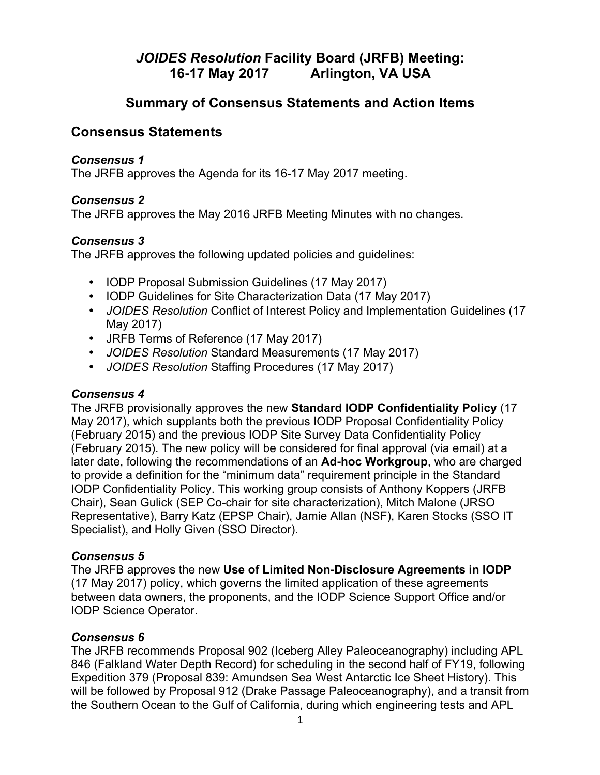# *JOIDES Resolution* **Facility Board (JRFB) Meeting: 16-17 May 2017 Arlington, VA USA**

# **Summary of Consensus Statements and Action Items**

# **Consensus Statements**

# *Consensus 1*

The JRFB approves the Agenda for its 16-17 May 2017 meeting.

# *Consensus 2*

The JRFB approves the May 2016 JRFB Meeting Minutes with no changes.

# *Consensus 3*

The JRFB approves the following updated policies and guidelines:

- IODP Proposal Submission Guidelines (17 May 2017)
- IODP Guidelines for Site Characterization Data (17 May 2017)
- *JOIDES Resolution* Conflict of Interest Policy and Implementation Guidelines (17 May 2017)
- JRFB Terms of Reference (17 May 2017)
- *JOIDES Resolution* Standard Measurements (17 May 2017)
- *JOIDES Resolution* Staffing Procedures (17 May 2017)

## *Consensus 4*

The JRFB provisionally approves the new **Standard IODP Confidentiality Policy** (17 May 2017), which supplants both the previous IODP Proposal Confidentiality Policy (February 2015) and the previous IODP Site Survey Data Confidentiality Policy (February 2015). The new policy will be considered for final approval (via email) at a later date, following the recommendations of an **Ad-hoc Workgroup**, who are charged to provide a definition for the "minimum data" requirement principle in the Standard IODP Confidentiality Policy. This working group consists of Anthony Koppers (JRFB Chair), Sean Gulick (SEP Co-chair for site characterization), Mitch Malone (JRSO Representative), Barry Katz (EPSP Chair), Jamie Allan (NSF), Karen Stocks (SSO IT Specialist), and Holly Given (SSO Director).

## *Consensus 5*

The JRFB approves the new **Use of Limited Non-Disclosure Agreements in IODP** (17 May 2017) policy, which governs the limited application of these agreements between data owners, the proponents, and the IODP Science Support Office and/or IODP Science Operator.

## *Consensus 6*

The JRFB recommends Proposal 902 (Iceberg Alley Paleoceanography) including APL 846 (Falkland Water Depth Record) for scheduling in the second half of FY19, following Expedition 379 (Proposal 839: Amundsen Sea West Antarctic Ice Sheet History). This will be followed by Proposal 912 (Drake Passage Paleoceanography), and a transit from the Southern Ocean to the Gulf of California, during which engineering tests and APL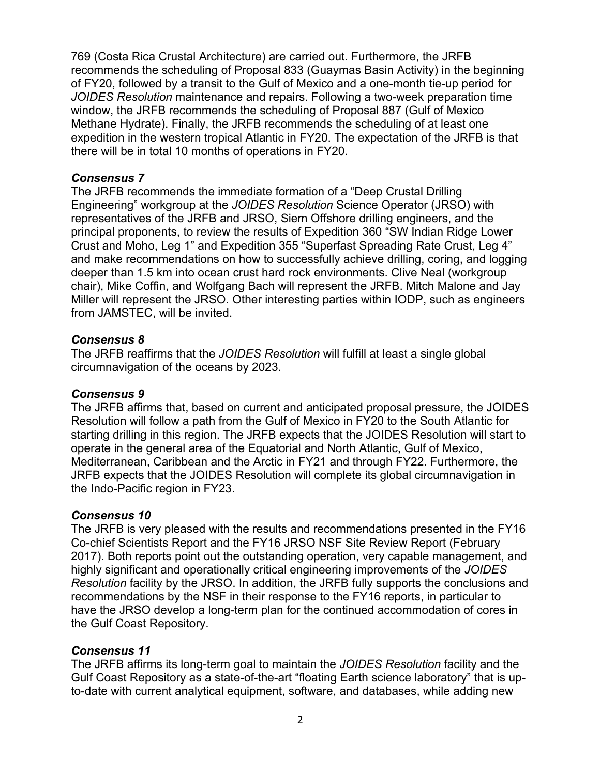769 (Costa Rica Crustal Architecture) are carried out. Furthermore, the JRFB recommends the scheduling of Proposal 833 (Guaymas Basin Activity) in the beginning of FY20, followed by a transit to the Gulf of Mexico and a one-month tie-up period for *JOIDES Resolution* maintenance and repairs. Following a two-week preparation time window, the JRFB recommends the scheduling of Proposal 887 (Gulf of Mexico Methane Hydrate). Finally, the JRFB recommends the scheduling of at least one expedition in the western tropical Atlantic in FY20. The expectation of the JRFB is that there will be in total 10 months of operations in FY20.

# *Consensus 7*

The JRFB recommends the immediate formation of a "Deep Crustal Drilling Engineering" workgroup at the *JOIDES Resolution* Science Operator (JRSO) with representatives of the JRFB and JRSO, Siem Offshore drilling engineers, and the principal proponents, to review the results of Expedition 360 "SW Indian Ridge Lower Crust and Moho, Leg 1" and Expedition 355 "Superfast Spreading Rate Crust, Leg 4" and make recommendations on how to successfully achieve drilling, coring, and logging deeper than 1.5 km into ocean crust hard rock environments. Clive Neal (workgroup chair), Mike Coffin, and Wolfgang Bach will represent the JRFB. Mitch Malone and Jay Miller will represent the JRSO. Other interesting parties within IODP, such as engineers from JAMSTEC, will be invited.

## *Consensus 8*

The JRFB reaffirms that the *JOIDES Resolution* will fulfill at least a single global circumnavigation of the oceans by 2023.

# *Consensus 9*

The JRFB affirms that, based on current and anticipated proposal pressure, the JOIDES Resolution will follow a path from the Gulf of Mexico in FY20 to the South Atlantic for starting drilling in this region. The JRFB expects that the JOIDES Resolution will start to operate in the general area of the Equatorial and North Atlantic, Gulf of Mexico, Mediterranean, Caribbean and the Arctic in FY21 and through FY22. Furthermore, the JRFB expects that the JOIDES Resolution will complete its global circumnavigation in the Indo-Pacific region in FY23.

# *Consensus 10*

The JRFB is very pleased with the results and recommendations presented in the FY16 Co-chief Scientists Report and the FY16 JRSO NSF Site Review Report (February 2017). Both reports point out the outstanding operation, very capable management, and highly significant and operationally critical engineering improvements of the *JOIDES Resolution* facility by the JRSO. In addition, the JRFB fully supports the conclusions and recommendations by the NSF in their response to the FY16 reports, in particular to have the JRSO develop a long-term plan for the continued accommodation of cores in the Gulf Coast Repository.

## *Consensus 11*

The JRFB affirms its long-term goal to maintain the *JOIDES Resolution* facility and the Gulf Coast Repository as a state-of-the-art "floating Earth science laboratory" that is upto-date with current analytical equipment, software, and databases, while adding new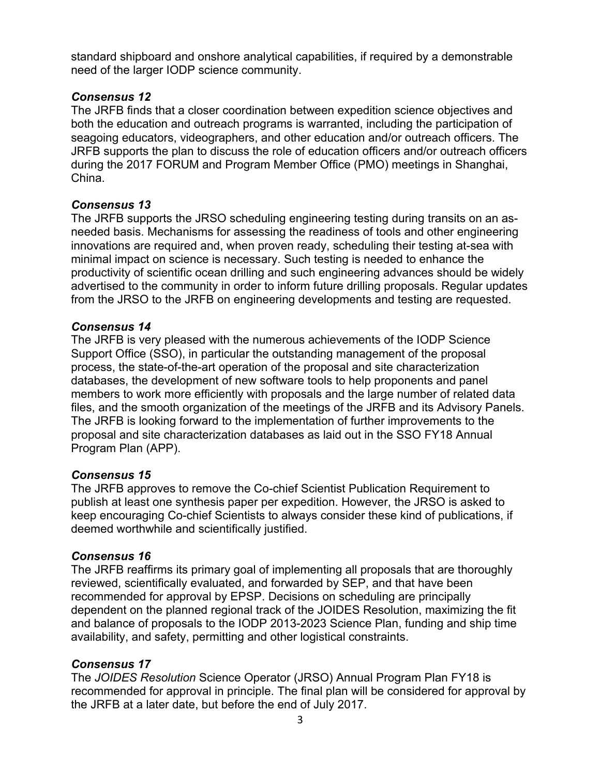standard shipboard and onshore analytical capabilities, if required by a demonstrable need of the larger IODP science community.

# *Consensus 12*

The JRFB finds that a closer coordination between expedition science objectives and both the education and outreach programs is warranted, including the participation of seagoing educators, videographers, and other education and/or outreach officers. The JRFB supports the plan to discuss the role of education officers and/or outreach officers during the 2017 FORUM and Program Member Office (PMO) meetings in Shanghai, China.

## *Consensus 13*

The JRFB supports the JRSO scheduling engineering testing during transits on an asneeded basis. Mechanisms for assessing the readiness of tools and other engineering innovations are required and, when proven ready, scheduling their testing at-sea with minimal impact on science is necessary. Such testing is needed to enhance the productivity of scientific ocean drilling and such engineering advances should be widely advertised to the community in order to inform future drilling proposals. Regular updates from the JRSO to the JRFB on engineering developments and testing are requested.

# *Consensus 14*

The JRFB is very pleased with the numerous achievements of the IODP Science Support Office (SSO), in particular the outstanding management of the proposal process, the state-of-the-art operation of the proposal and site characterization databases, the development of new software tools to help proponents and panel members to work more efficiently with proposals and the large number of related data files, and the smooth organization of the meetings of the JRFB and its Advisory Panels. The JRFB is looking forward to the implementation of further improvements to the proposal and site characterization databases as laid out in the SSO FY18 Annual Program Plan (APP).

# *Consensus 15*

The JRFB approves to remove the Co-chief Scientist Publication Requirement to publish at least one synthesis paper per expedition. However, the JRSO is asked to keep encouraging Co-chief Scientists to always consider these kind of publications, if deemed worthwhile and scientifically justified.

# *Consensus 16*

The JRFB reaffirms its primary goal of implementing all proposals that are thoroughly reviewed, scientifically evaluated, and forwarded by SEP, and that have been recommended for approval by EPSP. Decisions on scheduling are principally dependent on the planned regional track of the JOIDES Resolution, maximizing the fit and balance of proposals to the IODP 2013-2023 Science Plan, funding and ship time availability, and safety, permitting and other logistical constraints.

# *Consensus 17*

The *JOIDES Resolution* Science Operator (JRSO) Annual Program Plan FY18 is recommended for approval in principle. The final plan will be considered for approval by the JRFB at a later date, but before the end of July 2017.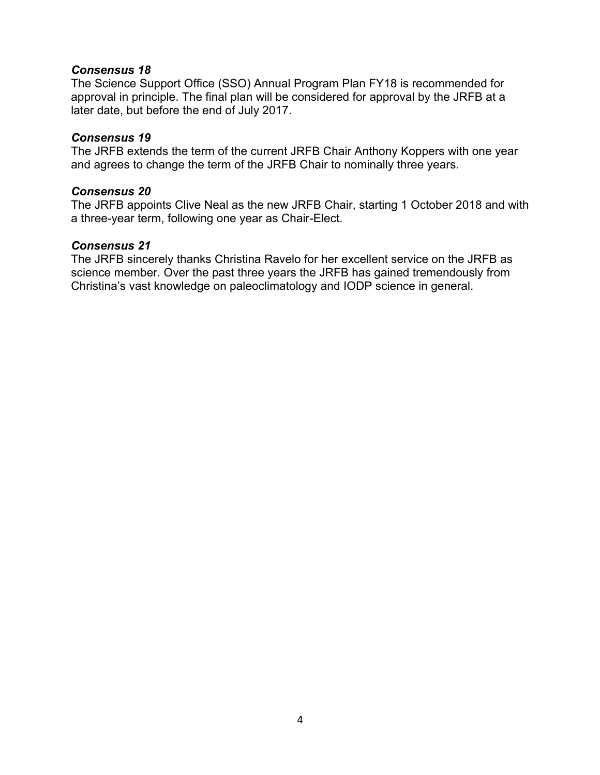#### *Consensus 18*

The Science Support Office (SSO) Annual Program Plan FY18 is recommended for approval in principle. The final plan will be considered for approval by the JRFB at a later date, but before the end of July 2017.

#### *Consensus 19*

The JRFB extends the term of the current JRFB Chair Anthony Koppers with one year and agrees to change the term of the JRFB Chair to nominally three years.

#### *Consensus 20*

The JRFB appoints Clive Neal as the new JRFB Chair, starting 1 October 2018 and with a three-year term, following one year as Chair-Elect.

#### *Consensus 21*

The JRFB sincerely thanks Christina Ravelo for her excellent service on the JRFB as science member. Over the past three years the JRFB has gained tremendously from Christina's vast knowledge on paleoclimatology and IODP science in general.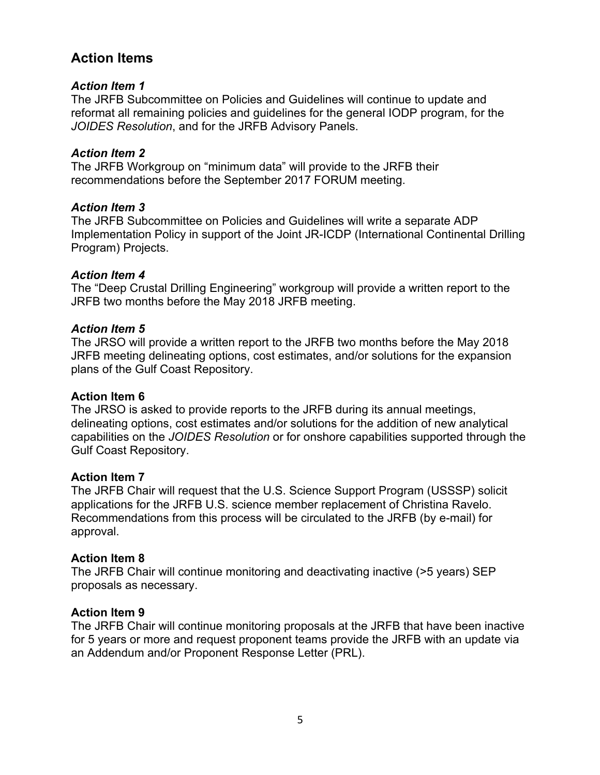# **Action Items**

# *Action Item 1*

The JRFB Subcommittee on Policies and Guidelines will continue to update and reformat all remaining policies and guidelines for the general IODP program, for the *JOIDES Resolution*, and for the JRFB Advisory Panels.

# *Action Item 2*

The JRFB Workgroup on "minimum data" will provide to the JRFB their recommendations before the September 2017 FORUM meeting.

# *Action Item 3*

The JRFB Subcommittee on Policies and Guidelines will write a separate ADP Implementation Policy in support of the Joint JR-ICDP (International Continental Drilling Program) Projects.

# *Action Item 4*

The "Deep Crustal Drilling Engineering" workgroup will provide a written report to the JRFB two months before the May 2018 JRFB meeting.

## *Action Item 5*

The JRSO will provide a written report to the JRFB two months before the May 2018 JRFB meeting delineating options, cost estimates, and/or solutions for the expansion plans of the Gulf Coast Repository.

## **Action Item 6**

The JRSO is asked to provide reports to the JRFB during its annual meetings, delineating options, cost estimates and/or solutions for the addition of new analytical capabilities on the *JOIDES Resolution* or for onshore capabilities supported through the Gulf Coast Repository.

## **Action Item 7**

The JRFB Chair will request that the U.S. Science Support Program (USSSP) solicit applications for the JRFB U.S. science member replacement of Christina Ravelo. Recommendations from this process will be circulated to the JRFB (by e-mail) for approval.

# **Action Item 8**

The JRFB Chair will continue monitoring and deactivating inactive (>5 years) SEP proposals as necessary.

# **Action Item 9**

The JRFB Chair will continue monitoring proposals at the JRFB that have been inactive for 5 years or more and request proponent teams provide the JRFB with an update via an Addendum and/or Proponent Response Letter (PRL).